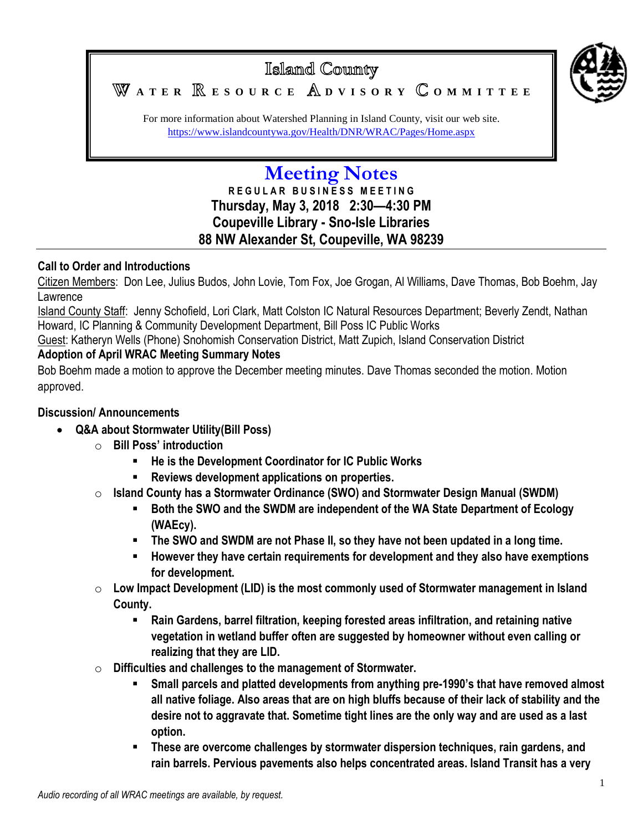

Islamd County W ATER **RESOURCE** ADVISORY COMMITTEE

For more information about Watershed Planning in Island County, visit our web site. <https://www.islandcountywa.gov/Health/DNR/WRAC/Pages/Home.aspx>

# **Meeting Notes**

### **R E G U L A R B U S I N E S S M E E T I N G Thursday, May 3, 2018 2:30—4:30 PM Coupeville Library - Sno-Isle Libraries 88 NW Alexander St, Coupeville, WA 98239**

#### **Call to Order and Introductions**

Citizen Members: Don Lee, Julius Budos, John Lovie, Tom Fox, Joe Grogan, Al Williams, Dave Thomas, Bob Boehm, Jay Lawrence

Island County Staff: Jenny Schofield, Lori Clark, Matt Colston IC Natural Resources Department; Beverly Zendt, Nathan Howard, IC Planning & Community Development Department, Bill Poss IC Public Works

Guest: Katheryn Wells (Phone) Snohomish Conservation District, Matt Zupich, Island Conservation District

#### **Adoption of April WRAC Meeting Summary Notes**

Bob Boehm made a motion to approve the December meeting minutes. Dave Thomas seconded the motion. Motion approved.

#### **Discussion/ Announcements**

- **Q&A about Stormwater Utility(Bill Poss)**
	- o **Bill Poss' introduction** 
		- **He is the Development Coordinator for IC Public Works**
		- **Reviews development applications on properties.**
	- o **Island County has a Stormwater Ordinance (SWO) and Stormwater Design Manual (SWDM)**
		- **Both the SWO and the SWDM are independent of the WA State Department of Ecology (WAEcy).**
		- **The SWO and SWDM are not Phase II, so they have not been updated in a long time.**
		- **However they have certain requirements for development and they also have exemptions for development.**
	- o **Low Impact Development (LID) is the most commonly used of Stormwater management in Island County.**
		- **Rain Gardens, barrel filtration, keeping forested areas infiltration, and retaining native vegetation in wetland buffer often are suggested by homeowner without even calling or realizing that they are LID.**
	- o **Difficulties and challenges to the management of Stormwater.**
		- **Small parcels and platted developments from anything pre-1990's that have removed almost all native foliage. Also areas that are on high bluffs because of their lack of stability and the desire not to aggravate that. Sometime tight lines are the only way and are used as a last option.**
		- **These are overcome challenges by stormwater dispersion techniques, rain gardens, and rain barrels. Pervious pavements also helps concentrated areas. Island Transit has a very**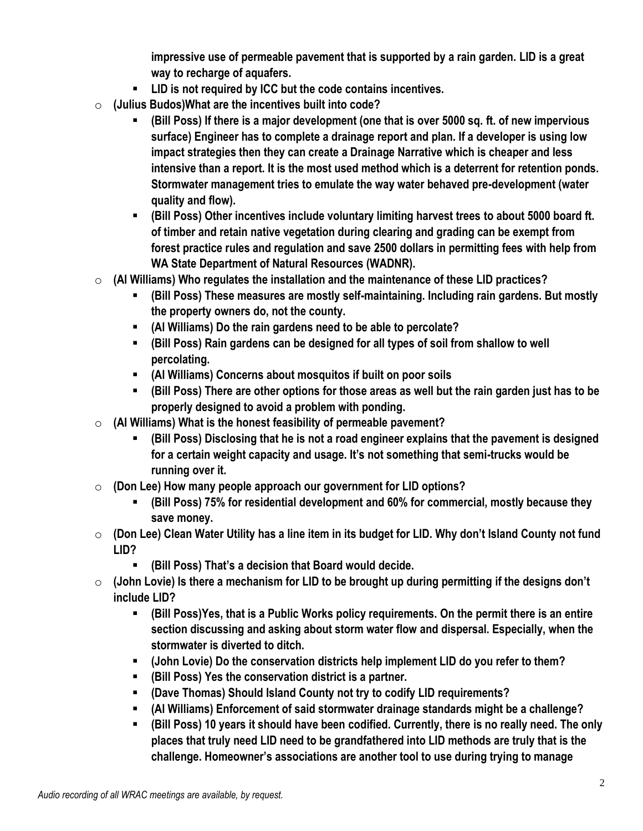**impressive use of permeable pavement that is supported by a rain garden. LID is a great way to recharge of aquafers.**

- **LID is not required by ICC but the code contains incentives.**
- o **(Julius Budos)What are the incentives built into code?** 
	- **(Bill Poss) If there is a major development (one that is over 5000 sq. ft. of new impervious surface) Engineer has to complete a drainage report and plan. If a developer is using low impact strategies then they can create a Drainage Narrative which is cheaper and less intensive than a report. It is the most used method which is a deterrent for retention ponds. Stormwater management tries to emulate the way water behaved pre-development (water quality and flow).**
	- **(Bill Poss) Other incentives include voluntary limiting harvest trees to about 5000 board ft. of timber and retain native vegetation during clearing and grading can be exempt from forest practice rules and regulation and save 2500 dollars in permitting fees with help from WA State Department of Natural Resources (WADNR).**
- o **(Al Williams) Who regulates the installation and the maintenance of these LID practices?**
	- **(Bill Poss) These measures are mostly self-maintaining. Including rain gardens. But mostly the property owners do, not the county.**
	- **(Al Williams) Do the rain gardens need to be able to percolate?**
	- **(Bill Poss) Rain gardens can be designed for all types of soil from shallow to well percolating.**
	- **(Al Williams) Concerns about mosquitos if built on poor soils**
	- **(Bill Poss) There are other options for those areas as well but the rain garden just has to be properly designed to avoid a problem with ponding.**
- o **(Al Williams) What is the honest feasibility of permeable pavement?**
	- **(Bill Poss) Disclosing that he is not a road engineer explains that the pavement is designed for a certain weight capacity and usage. It's not something that semi-trucks would be running over it.**
- o **(Don Lee) How many people approach our government for LID options?**
	- **(Bill Poss) 75% for residential development and 60% for commercial, mostly because they save money.**
- o **(Don Lee) Clean Water Utility has a line item in its budget for LID. Why don't Island County not fund LID?** 
	- **(Bill Poss) That's a decision that Board would decide.**
- o **(John Lovie) Is there a mechanism for LID to be brought up during permitting if the designs don't include LID?**
	- **(Bill Poss)Yes, that is a Public Works policy requirements. On the permit there is an entire section discussing and asking about storm water flow and dispersal. Especially, when the stormwater is diverted to ditch.**
	- **(John Lovie) Do the conservation districts help implement LID do you refer to them?**
	- **(Bill Poss) Yes the conservation district is a partner.**
	- **(Dave Thomas) Should Island County not try to codify LID requirements?**
	- **(Al Williams) Enforcement of said stormwater drainage standards might be a challenge?**
	- **(Bill Poss) 10 years it should have been codified. Currently, there is no really need. The only places that truly need LID need to be grandfathered into LID methods are truly that is the challenge. Homeowner's associations are another tool to use during trying to manage**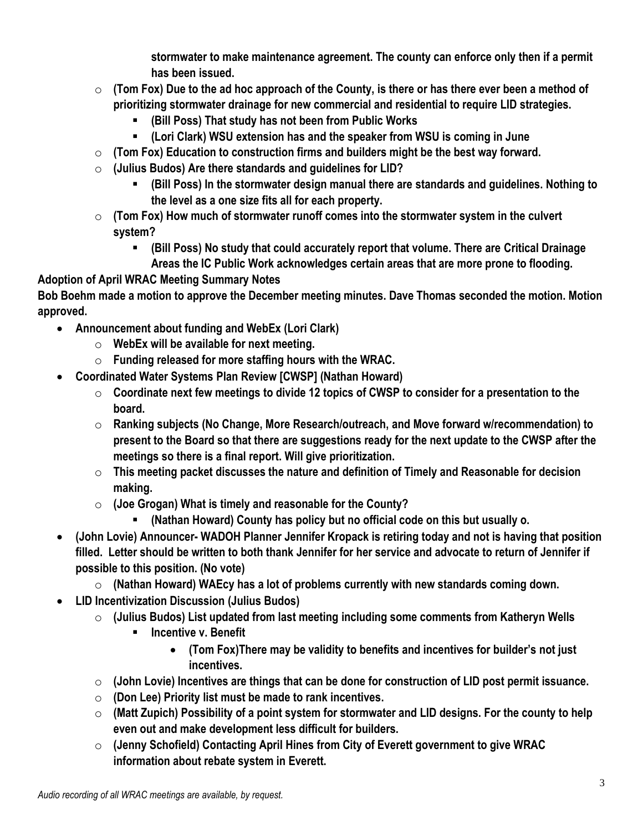**stormwater to make maintenance agreement. The county can enforce only then if a permit has been issued.**

- o **(Tom Fox) Due to the ad hoc approach of the County, is there or has there ever been a method of prioritizing stormwater drainage for new commercial and residential to require LID strategies.**
	- **(Bill Poss) That study has not been from Public Works**
	- **(Lori Clark) WSU extension has and the speaker from WSU is coming in June**
- o **(Tom Fox) Education to construction firms and builders might be the best way forward.**
- o **(Julius Budos) Are there standards and guidelines for LID?**
	- **(Bill Poss) In the stormwater design manual there are standards and guidelines. Nothing to the level as a one size fits all for each property.**
- o **(Tom Fox) How much of stormwater runoff comes into the stormwater system in the culvert system?**
	- **(Bill Poss) No study that could accurately report that volume. There are Critical Drainage Areas the IC Public Work acknowledges certain areas that are more prone to flooding.**

## **Adoption of April WRAC Meeting Summary Notes**

**Bob Boehm made a motion to approve the December meeting minutes. Dave Thomas seconded the motion. Motion approved.**

- **Announcement about funding and WebEx (Lori Clark)**
	- o **WebEx will be available for next meeting.**
	- o **Funding released for more staffing hours with the WRAC.**
- **Coordinated Water Systems Plan Review [CWSP] (Nathan Howard)**
	- o **Coordinate next few meetings to divide 12 topics of CWSP to consider for a presentation to the board.**
	- o **Ranking subjects (No Change, More Research/outreach, and Move forward w/recommendation) to present to the Board so that there are suggestions ready for the next update to the CWSP after the meetings so there is a final report. Will give prioritization.**
	- o **This meeting packet discusses the nature and definition of Timely and Reasonable for decision making.**
	- o **(Joe Grogan) What is timely and reasonable for the County?**
		- **(Nathan Howard) County has policy but no official code on this but usually o.**
- **(John Lovie) Announcer- WADOH Planner Jennifer Kropack is retiring today and not is having that position filled. Letter should be written to both thank Jennifer for her service and advocate to return of Jennifer if possible to this position. (No vote)**
	- o **(Nathan Howard) WAEcy has a lot of problems currently with new standards coming down.**
- **LID Incentivization Discussion (Julius Budos)**
	- o **(Julius Budos) List updated from last meeting including some comments from Katheryn Wells**
		- **Incentive v. Benefit** 
			- **(Tom Fox)There may be validity to benefits and incentives for builder's not just incentives.**
	- o **(John Lovie) Incentives are things that can be done for construction of LID post permit issuance.**
	- o **(Don Lee) Priority list must be made to rank incentives.**
	- o **(Matt Zupich) Possibility of a point system for stormwater and LID designs. For the county to help even out and make development less difficult for builders.**
	- o **(Jenny Schofield) Contacting April Hines from City of Everett government to give WRAC information about rebate system in Everett.**